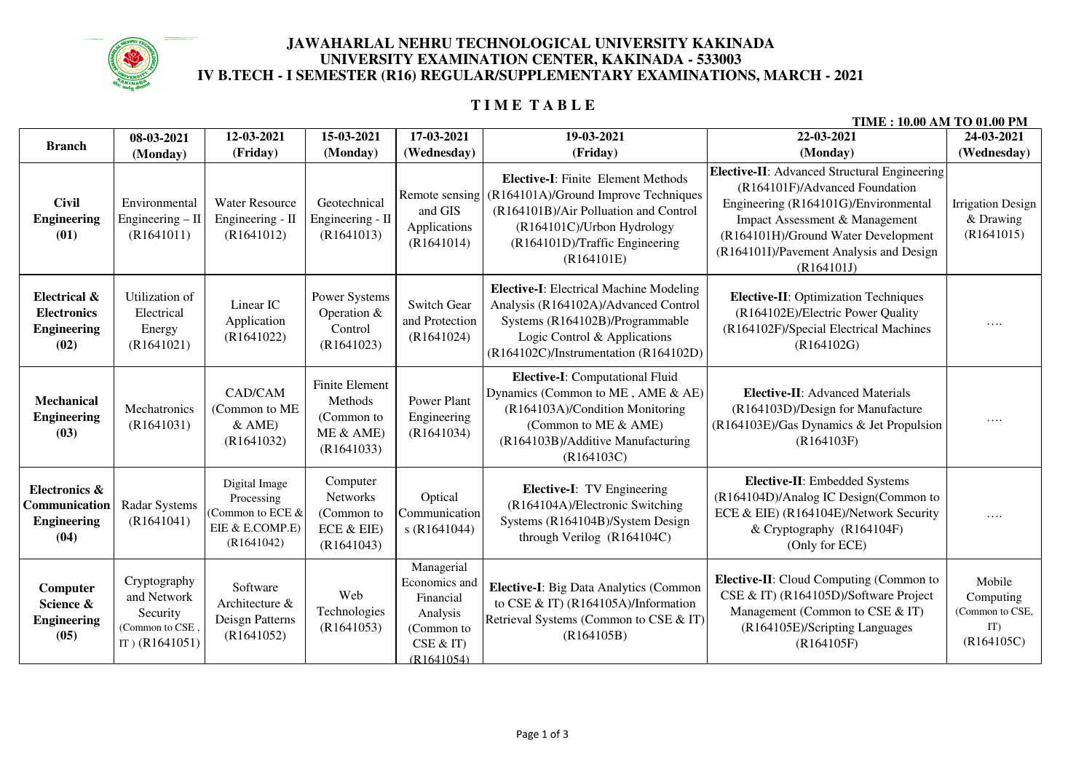

### **JAWAHARLAL NEHRU TECHNOLOGICAL UNIVERSITY KAKINADAUNIVERSITY EXAMINATION CENTER, KAKINADA - 533003IV B.TECH - I SEMESTER (R16) REGULAR/SUPPLEMENTARY EXAMINATIONS, MARCH - 2021**

# **T I M E T A B L E**

|                                                                  |                                                                                |                                                                                  |                                                                          |                                                                                             |                                                                                                                                                                                                          | TIME : 10.00 AM TO 01.00 PM                                                                                                                                                                                                                              |                                                             |
|------------------------------------------------------------------|--------------------------------------------------------------------------------|----------------------------------------------------------------------------------|--------------------------------------------------------------------------|---------------------------------------------------------------------------------------------|----------------------------------------------------------------------------------------------------------------------------------------------------------------------------------------------------------|----------------------------------------------------------------------------------------------------------------------------------------------------------------------------------------------------------------------------------------------------------|-------------------------------------------------------------|
| <b>Branch</b>                                                    | 08-03-2021                                                                     | 12-03-2021                                                                       | 15-03-2021                                                               | 17-03-2021                                                                                  | 19-03-2021                                                                                                                                                                                               | 22-03-2021                                                                                                                                                                                                                                               | 24-03-2021                                                  |
|                                                                  | (Monday)                                                                       | (Friday)                                                                         | (Monday)                                                                 | (Wednesday)                                                                                 | (Friday)                                                                                                                                                                                                 | (Monday)                                                                                                                                                                                                                                                 | (Wednesday)                                                 |
| <b>Civil</b><br><b>Engineering</b><br>(01)                       | Environmental<br>Engineering $-$ II<br>(R1641011)                              | <b>Water Resource</b><br>Engineering - II<br>(R1641012)                          | Geotechnical<br>Engineering - II<br>(R1641013)                           | Remote sensing<br>and GIS<br>Applications<br>(R1641014)                                     | <b>Elective-I:</b> Finite Element Methods<br>(R164101A)/Ground Improve Techniques<br>(R164101B)/Air Polluation and Control<br>(R164101C)/Urbon Hydrology<br>(R164101D)/Traffic Engineering<br>(R164101E) | Elective-II: Advanced Structural Engineering<br>(R164101F)/Advanced Foundation<br>Engineering (R164101G)/Environmental<br>Impact Assessment & Management<br>(R164101H)/Ground Water Development<br>(R164101I)/Pavement Analysis and Design<br>(R164101J) | <b>Irrigation Design</b><br>& Drawing<br>(R1641015)         |
| Electrical &<br><b>Electronics</b><br><b>Engineering</b><br>(02) | Utilization of<br>Electrical<br>Energy<br>(R1641021)                           | Linear IC<br>Application<br>(R1641022)                                           | Power Systems<br>Operation &<br>Control<br>(R1641023)                    | <b>Switch Gear</b><br>and Protection<br>(R1641024)                                          | <b>Elective-I:</b> Electrical Machine Modeling<br>Analysis (R164102A)/Advanced Control<br>Systems (R164102B)/Programmable<br>Logic Control & Applications<br>(R164102C)/Instrumentation (R164102D)       | Elective-II: Optimization Techniques<br>(R164102E)/Electric Power Quality<br>(R164102F)/Special Electrical Machines<br>(R164102G)                                                                                                                        | .                                                           |
| Mechanical<br><b>Engineering</b><br>(03)                         | Mechatronics<br>(R1641031)                                                     | CAD/CAM<br>(Common to ME<br>$&$ AME)<br>(R1641032)                               | <b>Finite Element</b><br>Methods<br>(Common to<br>ME & AME<br>(R1641033) | Power Plant<br>Engineering<br>(R1641034)                                                    | Elective-I: Computational Fluid<br>Dynamics (Common to ME, AME & AE)<br>(R164103A)/Condition Monitoring<br>(Common to ME & AME)<br>(R164103B)/Additive Manufacturing<br>(R164103C)                       | Elective-II: Advanced Materials<br>(R164103D)/Design for Manufacture<br>(R164103E)/Gas Dynamics & Jet Propulsion<br>(R164103F)                                                                                                                           | $\cdots$                                                    |
| Electronics &<br>Communication<br><b>Engineering</b><br>(04)     | Radar Systems<br>(R1641041)                                                    | Digital Image<br>Processing<br>(Common to ECE &<br>EIE & E.COMP.E)<br>(R1641042) | Computer<br><b>Networks</b><br>(Common to<br>ECE & EIE)<br>(R1641043)    | Optical<br>Communication<br>s(R1641044)                                                     | Elective-I: TV Engineering<br>(R164104A)/Electronic Switching<br>Systems (R164104B)/System Design<br>through Verilog (R164104C)                                                                          | Elective-II: Embedded Systems<br>(R164104D)/Analog IC Design(Common to<br>ECE & EIE) (R164104E)/Network Security<br>& Cryptography (R164104F)<br>(Only for ECE)                                                                                          | $\cdots$                                                    |
| Computer<br>Science &<br><b>Engineering</b><br>(05)              | Cryptography<br>and Network<br>Security<br>(Common to CSE,<br>IT) $(R1641051)$ | Software<br>Architecture &<br>Deisgn Patterns<br>(R1641052)                      | Web<br>Technologies<br>(R1641053)                                        | Managerial<br>Economics and<br>Financial<br>Analysis<br>(Common to<br>CSE & T<br>(R1641054) | Elective-I: Big Data Analytics (Common<br>to CSE & IT) (R164105A)/Information<br>Retrieval Systems (Common to CSE & IT)<br>(R164105B)                                                                    | Elective-II: Cloud Computing (Common to<br>CSE & IT) (R164105D)/Software Project<br>Management (Common to CSE & IT)<br>(R164105E)/Scripting Languages<br>(R164105F)                                                                                      | Mobile<br>Computing<br>(Common to CSE,<br>IT)<br>(R164105C) |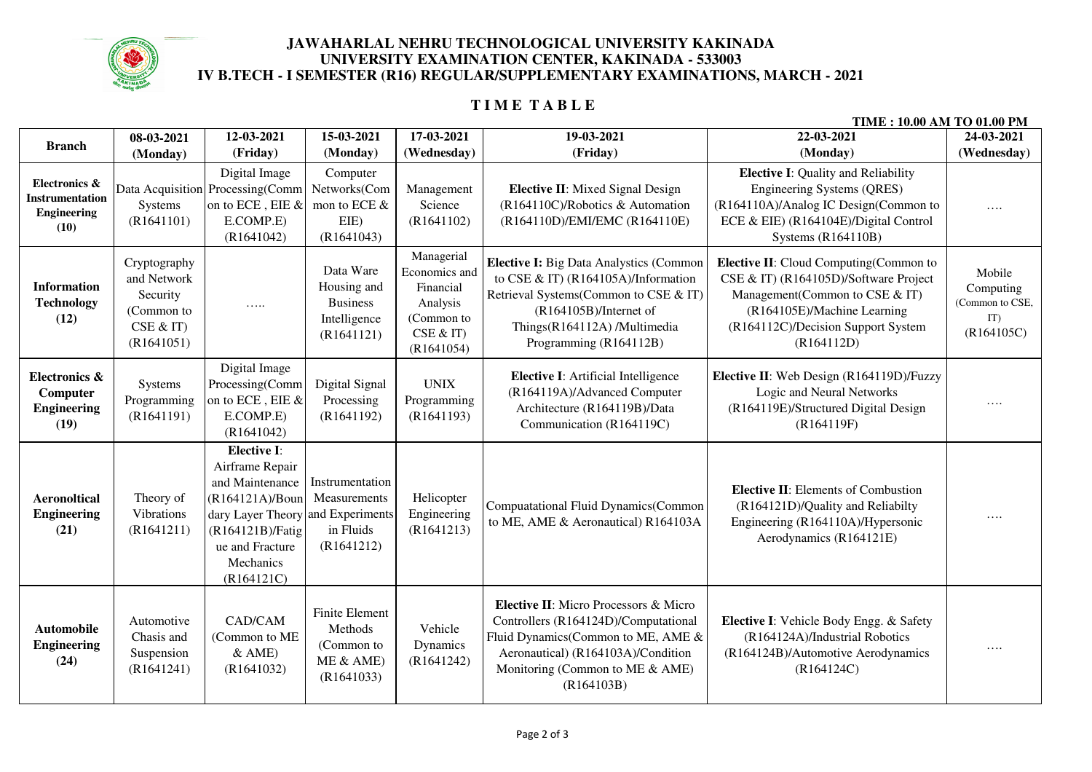

### **JAWAHARLAL NEHRU TECHNOLOGICAL UNIVERSITY KAKINADA UNIVERSITY EXAMINATION CENTER, KAKINADA - 533003IV B.TECH - I SEMESTER (R16) REGULAR/SUPPLEMENTARY EXAMINATIONS, MARCH - 2021**

# **T I M E T A B L E**

| TIME : 10.00 AM TO 01.00 PM                                           |                                                                                |                                                                                                                                                                             |                                                                           |                                                                                               |                                                                                                                                                                                                                    |                                                                                                                                                                                                             |                                                             |
|-----------------------------------------------------------------------|--------------------------------------------------------------------------------|-----------------------------------------------------------------------------------------------------------------------------------------------------------------------------|---------------------------------------------------------------------------|-----------------------------------------------------------------------------------------------|--------------------------------------------------------------------------------------------------------------------------------------------------------------------------------------------------------------------|-------------------------------------------------------------------------------------------------------------------------------------------------------------------------------------------------------------|-------------------------------------------------------------|
| <b>Branch</b>                                                         | 08-03-2021                                                                     | 12-03-2021                                                                                                                                                                  | 15-03-2021                                                                | 17-03-2021                                                                                    | 19-03-2021                                                                                                                                                                                                         | 22-03-2021                                                                                                                                                                                                  | 24-03-2021                                                  |
|                                                                       | (Monday)                                                                       | (Friday)                                                                                                                                                                    | (Monday)                                                                  | (Wednesday)                                                                                   | (Friday)                                                                                                                                                                                                           | (Monday)                                                                                                                                                                                                    | (Wednesday)                                                 |
| Electronics &<br><b>Instrumentation</b><br><b>Engineering</b><br>(10) | Systems<br>(R1641101)                                                          | Digital Image<br>Data Acquisition Processing(Comm<br>on to ECE, EIE &<br>E.COMP.E)<br>(R1641042)                                                                            | Computer<br>Networks(Com<br>mon to ECE &<br>EIE)<br>(R1641043)            | Management<br>Science<br>(R1641102)                                                           | <b>Elective II:</b> Mixed Signal Design<br>(R164110C)/Robotics & Automation<br>(R164110D)/EMI/EMC (R164110E)                                                                                                       | <b>Elective I:</b> Quality and Reliability<br>Engineering Systems (QRES)<br>(R164110A)/Analog IC Design(Common to<br>ECE & EIE) (R164104E)/Digital Control<br><b>Systems (R164110B)</b>                     | $\cdots$                                                    |
| <b>Information</b><br><b>Technology</b><br>(12)                       | Cryptography<br>and Network<br>Security<br>(Common to<br>CSE & T<br>(R1641051) | .                                                                                                                                                                           | Data Ware<br>Housing and<br><b>Business</b><br>Intelligence<br>(R1641121) | Managerial<br>Economics and<br>Financial<br>Analysis<br>(Common to<br>CSE & IT)<br>(R1641054) | <b>Elective I:</b> Big Data Analystics (Common<br>to CSE & IT) (R164105A)/Information<br>Retrieval Systems(Common to CSE & IT)<br>(R164105B)/Internet of<br>Things(R164112A) /Multimedia<br>Programming (R164112B) | <b>Elective II:</b> Cloud Computing(Common to<br>CSE & IT) (R164105D)/Software Project<br>Management(Common to CSE & IT)<br>(R164105E)/Machine Learning<br>(R164112C)/Decision Support System<br>(R164112D) | Mobile<br>Computing<br>(Common to CSE,<br>IT)<br>(R164105C) |
| Electronics &<br>Computer<br><b>Engineering</b><br>(19)               | Systems<br>Programming<br>(R1641191)                                           | Digital Image<br>Processing(Comm<br>on to ECE, EIE &<br>E.COMP.E)<br>(R1641042)                                                                                             | Digital Signal<br>Processing<br>(R1641192)                                | <b>UNIX</b><br>Programming<br>(R1641193)                                                      | <b>Elective I:</b> Artificial Intelligence<br>(R164119A)/Advanced Computer<br>Architecture (R164119B)/Data<br>Communication (R164119C)                                                                             | Elective II: Web Design (R164119D)/Fuzzy<br>Logic and Neural Networks<br>(R164119E)/Structured Digital Design<br>(R164119F)                                                                                 | .                                                           |
| <b>Aeronoltical</b><br><b>Engineering</b><br>(21)                     | Theory of<br>Vibrations<br>(R1641211)                                          | Elective I:<br>Airframe Repair<br>and Maintenance<br>(R164121A)/Boun<br>dary Layer Theory and Experiments<br>(R164121B)/Fatig<br>ue and Fracture<br>Mechanics<br>(R164121C) | Instrumentation<br>Measurements<br>in Fluids<br>(R1641212)                | Helicopter<br>Engineering<br>(R1641213)                                                       | <b>Compuatational Fluid Dynamics(Common</b><br>to ME, AME & Aeronautical) R164103A                                                                                                                                 | <b>Elective II:</b> Elements of Combustion<br>(R164121D)/Quality and Reliabilty<br>Engineering (R164110A)/Hypersonic<br>Aerodynamics (R164121E)                                                             | .                                                           |
| <b>Automobile</b><br><b>Engineering</b><br>(24)                       | Automotive<br>Chasis and<br>Suspension<br>(R1641241)                           | CAD/CAM<br>(Common to ME<br>$&$ AME)<br>(R1641032)                                                                                                                          | Finite Element<br>Methods<br>(Common to<br>ME & AME)<br>(R1641033)        | Vehicle<br>Dynamics<br>(R1641242)                                                             | Elective II: Micro Processors & Micro<br>Controllers (R164124D)/Computational<br>Fluid Dynamics(Common to ME, AME &<br>Aeronautical) (R164103A)/Condition<br>Monitoring (Common to ME & AME)<br>(R164103B)         | Elective I: Vehicle Body Engg. & Safety<br>(R164124A)/Industrial Robotics<br>(R164124B)/Automotive Aerodynamics<br>(R164124C)                                                                               | .                                                           |